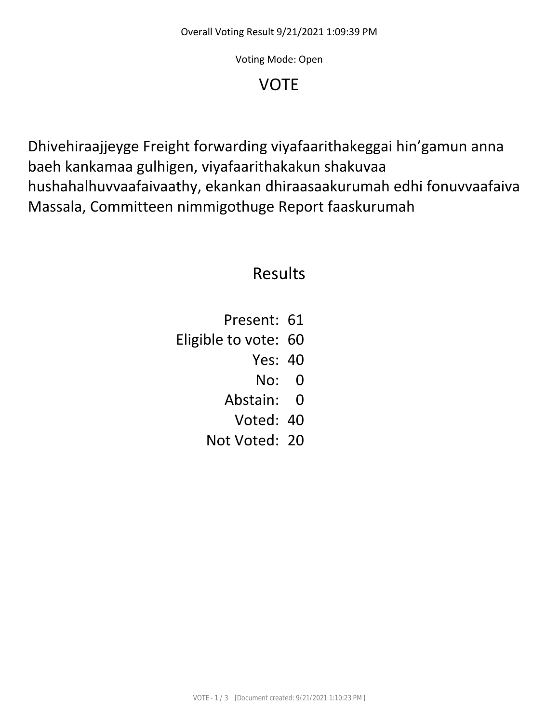Voting Mode: Open

## VOTE

Dhivehiraajjeyge Freight forwarding viyafaarithakeggai hin'gamun anna baeh kankamaa gulhigen, viyafaarithakakun shakuvaa hushahalhuvvaafaivaathy, ekankan dhiraasaakurumah edhi fonuvvaafaiva Massala, Committeen nimmigothuge Report faaskurumah

## Results

Present: 61 Eligible to vote: 60 Yes: 40 No: 0 Abstain: 0 Voted: 40 Not Voted: 20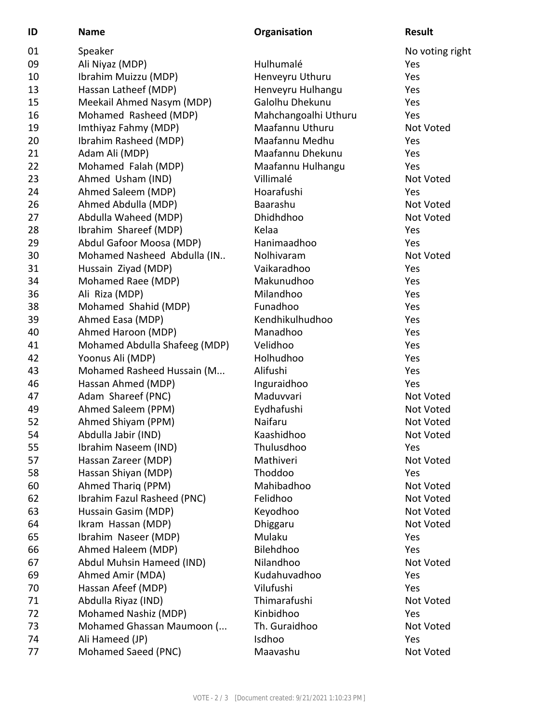| ID | <b>Name</b>                   | Organisation         | <b>Result</b>   |
|----|-------------------------------|----------------------|-----------------|
| 01 | Speaker                       |                      | No voting right |
| 09 | Ali Niyaz (MDP)               | Hulhumalé            | Yes             |
| 10 | Ibrahim Muizzu (MDP)          | Henveyru Uthuru      | Yes             |
| 13 | Hassan Latheef (MDP)          | Henveyru Hulhangu    | Yes             |
| 15 | Meekail Ahmed Nasym (MDP)     | Galolhu Dhekunu      | Yes             |
| 16 | Mohamed Rasheed (MDP)         | Mahchangoalhi Uthuru | Yes             |
| 19 | Imthiyaz Fahmy (MDP)          | Maafannu Uthuru      | Not Voted       |
| 20 | Ibrahim Rasheed (MDP)         | Maafannu Medhu       | Yes             |
| 21 | Adam Ali (MDP)                | Maafannu Dhekunu     | Yes             |
| 22 | Mohamed Falah (MDP)           | Maafannu Hulhangu    | Yes             |
| 23 | Ahmed Usham (IND)             | Villimalé            | Not Voted       |
| 24 | Ahmed Saleem (MDP)            | Hoarafushi           | Yes             |
| 26 | Ahmed Abdulla (MDP)           | Baarashu             | Not Voted       |
| 27 | Abdulla Waheed (MDP)          | Dhidhdhoo            | Not Voted       |
| 28 | Ibrahim Shareef (MDP)         | Kelaa                | Yes             |
| 29 | Abdul Gafoor Moosa (MDP)      | Hanimaadhoo          | Yes             |
| 30 | Mohamed Nasheed Abdulla (IN   | Nolhivaram           | Not Voted       |
| 31 | Hussain Ziyad (MDP)           | Vaikaradhoo          | Yes             |
| 34 | Mohamed Raee (MDP)            | Makunudhoo           | Yes             |
| 36 | Ali Riza (MDP)                | Milandhoo            | Yes             |
| 38 | Mohamed Shahid (MDP)          | Funadhoo             | Yes             |
| 39 | Ahmed Easa (MDP)              | Kendhikulhudhoo      | Yes             |
| 40 | Ahmed Haroon (MDP)            | Manadhoo             | Yes             |
| 41 | Mohamed Abdulla Shafeeg (MDP) | Velidhoo             | Yes             |
| 42 | Yoonus Ali (MDP)              | Holhudhoo            | Yes             |
| 43 | Mohamed Rasheed Hussain (M    | Alifushi             | Yes             |
| 46 | Hassan Ahmed (MDP)            | Inguraidhoo          | Yes             |
| 47 | Adam Shareef (PNC)            | Maduvvari            | Not Voted       |
| 49 | Ahmed Saleem (PPM)            | Eydhafushi           | Not Voted       |
| 52 | Ahmed Shiyam (PPM)            | Naifaru              | Not Voted       |
| 54 | Abdulla Jabir (IND)           | Kaashidhoo           | Not Voted       |
| 55 | Ibrahim Naseem (IND)          | Thulusdhoo           | Yes             |
| 57 | Hassan Zareer (MDP)           | Mathiveri            | Not Voted       |
| 58 | Hassan Shiyan (MDP)           | Thoddoo              | Yes             |
| 60 | Ahmed Thariq (PPM)            | Mahibadhoo           | Not Voted       |
| 62 | Ibrahim Fazul Rasheed (PNC)   | Felidhoo             | Not Voted       |
| 63 | Hussain Gasim (MDP)           | Keyodhoo             | Not Voted       |
| 64 | Ikram Hassan (MDP)            | Dhiggaru             | Not Voted       |
| 65 | Ibrahim Naseer (MDP)          | Mulaku               | Yes             |
| 66 | Ahmed Haleem (MDP)            | Bilehdhoo            | Yes             |
| 67 | Abdul Muhsin Hameed (IND)     | Nilandhoo            | Not Voted       |
| 69 | Ahmed Amir (MDA)              | Kudahuvadhoo         | Yes             |
| 70 | Hassan Afeef (MDP)            | Vilufushi            | Yes             |
| 71 | Abdulla Riyaz (IND)           | Thimarafushi         | Not Voted       |
| 72 | Mohamed Nashiz (MDP)          | Kinbidhoo            | Yes             |
| 73 | Mohamed Ghassan Maumoon (     | Th. Guraidhoo        | Not Voted       |
| 74 | Ali Hameed (JP)               | Isdhoo               | Yes             |
| 77 | Mohamed Saeed (PNC)           | Maavashu             | Not Voted       |
|    |                               |                      |                 |